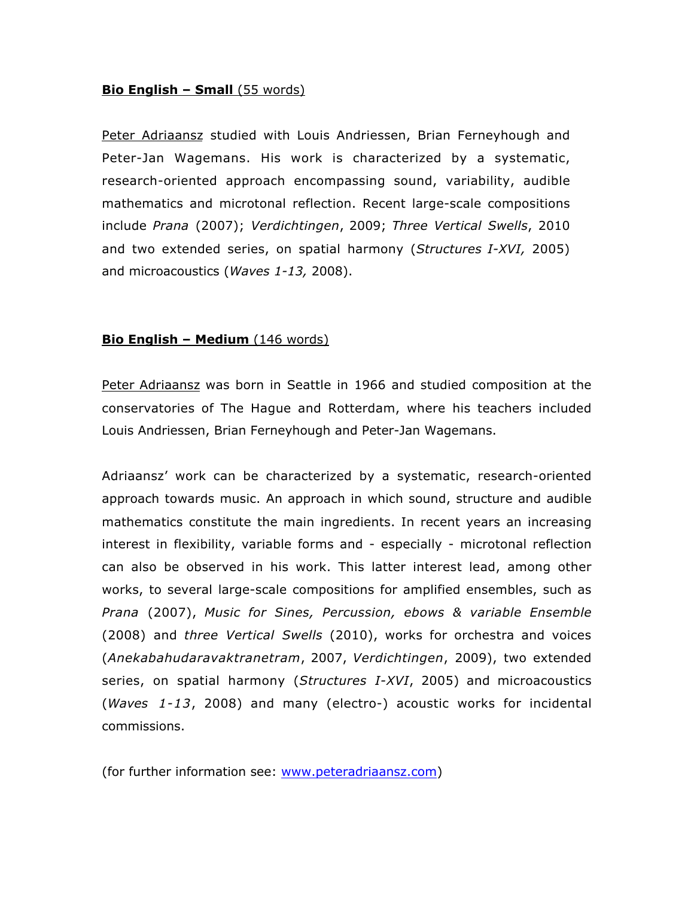## **Bio English – Small** (55 words)

Peter Adriaansz studied with Louis Andriessen, Brian Ferneyhough and Peter-Jan Wagemans. His work is characterized by a systematic, research-oriented approach encompassing sound, variability, audible mathematics and microtonal reflection. Recent large-scale compositions include *Prana* (2007); *Verdichtingen*, 2009; *Three Vertical Swells*, 2010 and two extended series, on spatial harmony (*Structures I-XVI,* 2005) and microacoustics (*Waves 1-13,* 2008).

## **Bio English – Medium** (146 words)

Peter Adriaansz was born in Seattle in 1966 and studied composition at the conservatories of The Hague and Rotterdam, where his teachers included Louis Andriessen, Brian Ferneyhough and Peter-Jan Wagemans.

Adriaansz' work can be characterized by a systematic, research-oriented approach towards music. An approach in which sound, structure and audible mathematics constitute the main ingredients. In recent years an increasing interest in flexibility, variable forms and - especially - microtonal reflection can also be observed in his work. This latter interest lead, among other works, to several large-scale compositions for amplified ensembles, such as *Prana* (2007), *Music for Sines, Percussion, ebows & variable Ensemble* (2008) and *three Vertical Swells* (2010), works for orchestra and voices (*Anekabahudaravaktranetram*, 2007, *Verdichtingen*, 2009), two extended series, on spatial harmony (*Structures I-XVI*, 2005) and microacoustics (*Waves 1-13*, 2008) and many (electro-) acoustic works for incidental commissions.

(for further information see: www.peteradriaansz.com)